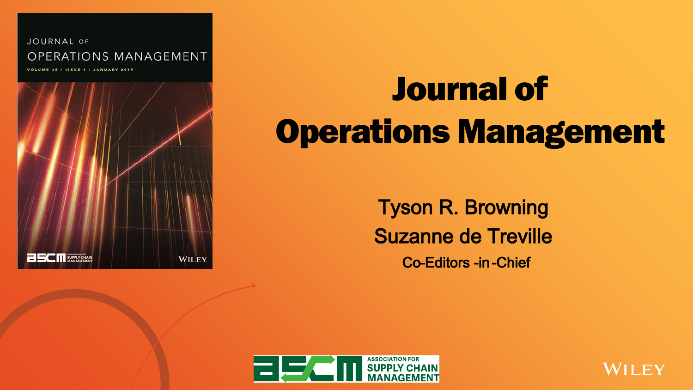JOURNAL OF OPERATIONS MANAGEMENT

VOLUME 65 / ISSUE 1 / JANUARY 2019



# Journal of Operations Management

Tyson R. Browning Suzanne de Treville Co-Editors -in-Chief



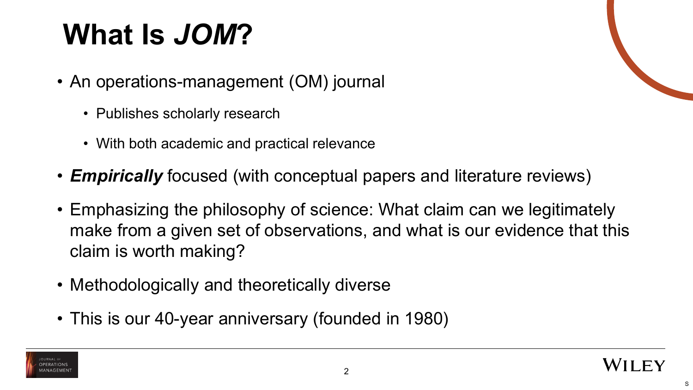# **What Is** *JOM***?**

- An operations-management (OM) journal
	- Publishes scholarly research
	- With both academic and practical relevance
- *Empirically* focused (with conceptual papers and literature reviews)
- Emphasizing the philosophy of science: What claim can we legitimately make from a given set of observations, and what is our evidence that this claim is worth making?
- Methodologically and theoretically diverse
- This is our 40-year anniversary (founded in 1980)



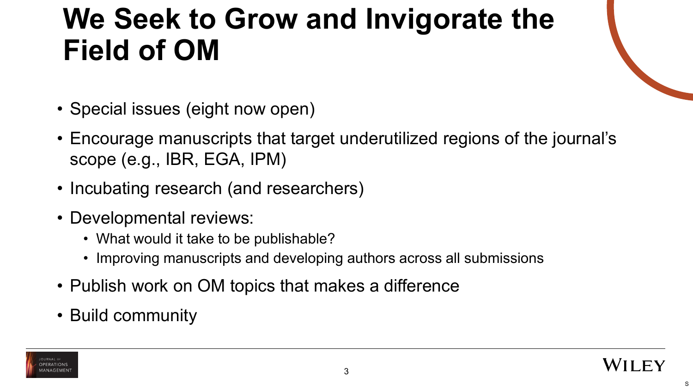### **We Seek to Grow and Invigorate the Field of OM**

- Special issues (eight now open)
- Encourage manuscripts that target underutilized regions of the journal's scope (e.g., IBR, EGA, IPM)
- Incubating research (and researchers)
- Developmental reviews:
	- What would it take to be publishable?
	- Improving manuscripts and developing authors across all submissions
- Publish work on OM topics that makes a difference
- Build community



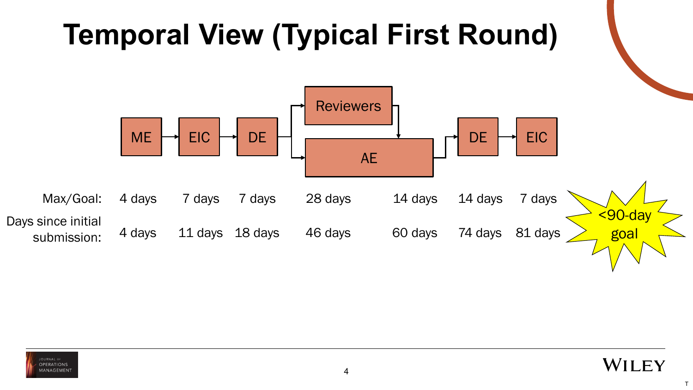



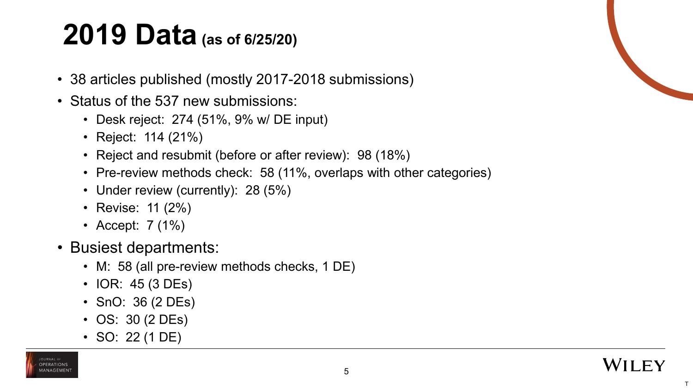### **2019 Data (as of 6/25/20)**

- 38 articles published (mostly 2017-2018 submissions)
- Status of the 537 new submissions:
	- Desk reject: 274 (51%, 9% w/ DE input)
	- Reject: 114 (21%)
	- Reject and resubmit (before or after review): 98 (18%)
	- Pre-review methods check: 58 (11%, overlaps with other categories)
	- Under review (currently): 28 (5%)
	- Revise: 11 (2%)
	- Accept: 7 (1%)
- Busiest departments:
	- M: 58 (all pre-review methods checks, 1 DE)
	- IOR: 45 (3 DEs)
	- SnO: 36 (2 DEs)
	- OS: 30 (2 DEs)
	- SO: 22 (1 DE)



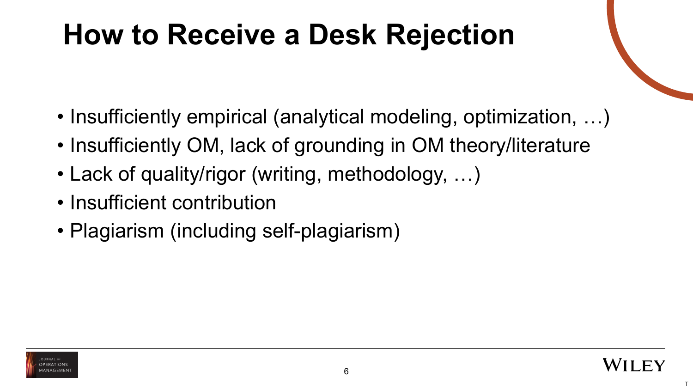### **How to Receive a Desk Rejection**

- Insufficiently empirical (analytical modeling, optimization, ...)
- Insufficiently OM, lack of grounding in OM theory/literature
- Lack of quality/rigor (writing, methodology, ...)
- Insufficient contribution
- Plagiarism (including self-plagiarism)



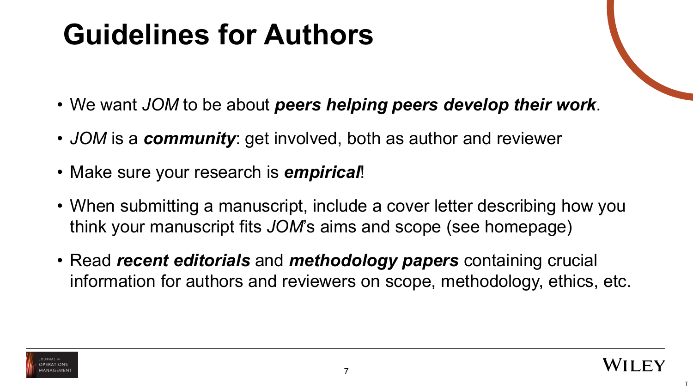### **Guidelines for Authors**

- We want *JOM* to be about *peers helping peers develop their work*.
- *JOM* is a *community*: get involved, both as author and reviewer
- Make sure your research is *empirical*!
- When submitting a manuscript, include a cover letter describing how you think your manuscript fits *JOM*'s aims and scope (see homepage)
- Read *recent editorials* and *methodology papers* containing crucial information for authors and reviewers on scope, methodology, ethics, etc.



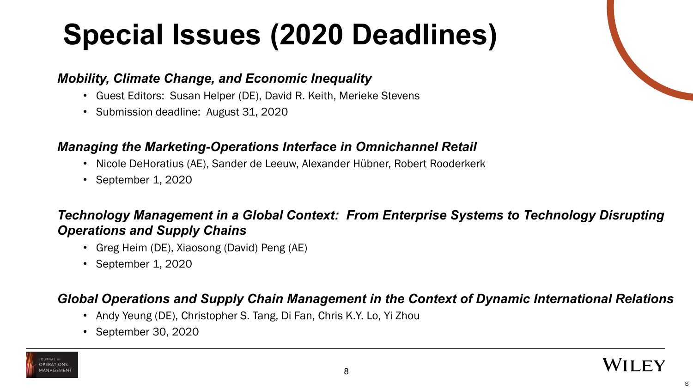# **Special Issues (2020 Deadlines)**

#### *Mobility, Climate Change, and Economic Inequality*

- Guest Editors: Susan Helper (DE), David R. Keith, Merieke Stevens
- Submission deadline: August 31, 2020

#### *Managing the Marketing-Operations Interface in Omnichannel Retail*

- Nicole DeHoratius (AE), Sander de Leeuw, Alexander Hübner, Robert Rooderkerk
- September 1, 2020

#### *Technology Management in a Global Context: From Enterprise Systems to Technology Disrupting Operations and Supply Chains*

- Greg Heim (DE), Xiaosong (David) Peng (AE)
- September 1, 2020

#### *Global Operations and Supply Chain Management in the Context of Dynamic International Relations*

- Andy Yeung (DE), Christopher S. Tang, Di Fan, Chris K.Y. Lo, Yi Zhou
- September 30, 2020

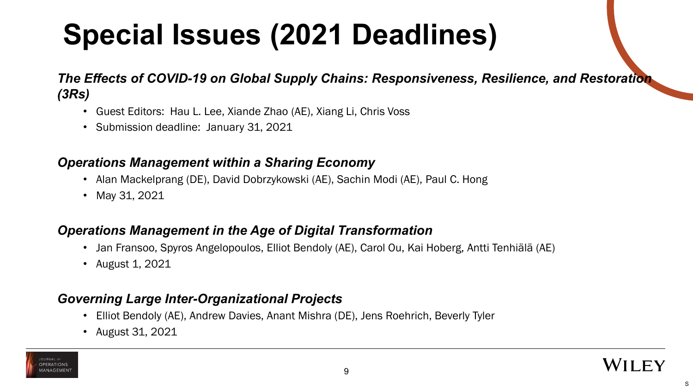# **Special Issues (2021 Deadlines)**

#### *The Effects of COVID-19 on Global Supply Chains: Responsiveness, Resilience, and Restoration (3Rs)*

- Guest Editors: Hau L. Lee, Xiande Zhao (AE), Xiang Li, Chris Voss
- Submission deadline: January 31, 2021

#### *Operations Management within a Sharing Economy*

- Alan Mackelprang (DE), David Dobrzykowski (AE), Sachin Modi (AE), Paul C. Hong
- May 31, 2021

#### *Operations Management in the Age of Digital Transformation*

- Jan Fransoo, Spyros Angelopoulos, Elliot Bendoly (AE), Carol Ou, Kai Hoberg, Antti Tenhiälä (AE)
- August 1, 2021

#### *Governing Large Inter-Organizational Projects*

- Elliot Bendoly (AE), Andrew Davies, Anant Mishra (DE), Jens Roehrich, Beverly Tyler
- August 31, 2021